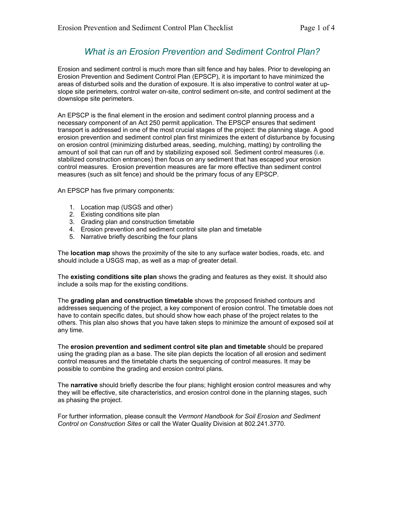### *What is an Erosion Prevention and Sediment Control Plan?*

Erosion and sediment control is much more than silt fence and hay bales. Prior to developing an Erosion Prevention and Sediment Control Plan (EPSCP), it is important to have minimized the areas of disturbed soils and the duration of exposure. It is also imperative to control water at upslope site perimeters, control water on-site, control sediment on-site, and control sediment at the downslope site perimeters.

An EPSCP is the final element in the erosion and sediment control planning process and a necessary component of an Act 250 permit application. The EPSCP ensures that sediment transport is addressed in one of the most crucial stages of the project: the planning stage. A good erosion prevention and sediment control plan first minimizes the extent of disturbance by focusing on erosion control (minimizing disturbed areas, seeding, mulching, matting) by controlling the amount of soil that can run off and by stabilizing exposed soil. Sediment control measures (i.e. stabilized construction entrances) then focus on any sediment that has escaped your erosion control measures. Erosion prevention measures are far more effective than sediment control measures (such as silt fence) and should be the primary focus of any EPSCP.

An EPSCP has five primary components:

- 1. Location map (USGS and other)
- 2. Existing conditions site plan
- 3. Grading plan and construction timetable
- 4. Erosion prevention and sediment control site plan and timetable
- 5. Narrative briefly describing the four plans

The **location map** shows the proximity of the site to any surface water bodies, roads, etc. and should include a USGS map, as well as a map of greater detail.

The **existing conditions site plan** shows the grading and features as they exist. It should also include a soils map for the existing conditions.

The **grading plan and construction timetable** shows the proposed finished contours and addresses sequencing of the project, a key component of erosion control. The timetable does not have to contain specific dates, but should show how each phase of the project relates to the others. This plan also shows that you have taken steps to minimize the amount of exposed soil at any time.

The **erosion prevention and sediment control site plan and timetable** should be prepared using the grading plan as a base. The site plan depicts the location of all erosion and sediment control measures and the timetable charts the sequencing of control measures. It may be possible to combine the grading and erosion control plans.

The **narrative** should briefly describe the four plans; highlight erosion control measures and why they will be effective, site characteristics, and erosion control done in the planning stages, such as phasing the project.

For further information, please consult the *Vermont Handbook for Soil Erosion a[nd](http://www.vtwaterquality.org/hydrology.htm) Sediment Control on Construction Sites* or call the Water Quality Division at 802.241.3770.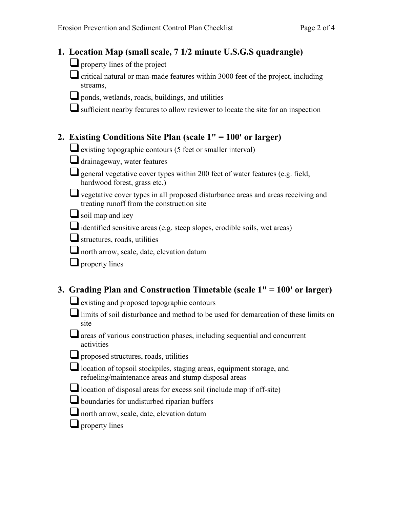# **1. Location Map (small scale, 7 1/2 minute U.S.G.S quadrangle)**

property lines of the project

 $\Box$  critical natural or man-made features within 3000 feet of the project, including streams,

ponds, wetlands, roads, buildings, and utilities

sufficient nearby features to allow reviewer to locate the site for an inspection

## **2. Existing Conditions Site Plan (scale 1" = 100' or larger)**

existing topographic contours (5 feet or smaller interval)

drainageway, water features

- general vegetative cover types within 200 feet of water features (e.g. field, hardwood forest, grass etc.)
- vegetative cover types in all proposed disturbance areas and areas receiving and treating runoff from the construction site
- $\Box$  soil map and key
- $\Box$  identified sensitive areas (e.g. steep slopes, erodible soils, wet areas)
- $\Box$  structures, roads, utilities
- north arrow, scale, date, elevation datum
- $\Box$  property lines

# **3. Grading Plan and Construction Timetable (scale 1" = 100' or larger)**

- existing and proposed topographic contours
- limits of soil disturbance and method to be used for demarcation of these limits on site
- $\Box$  areas of various construction phases, including sequential and concurrent activities
- proposed structures, roads, utilities
- location of topsoil stockpiles, staging areas, equipment storage, and refueling/maintenance areas and stump disposal areas
- $\Box$  location of disposal areas for excess soil (include map if off-site)
- **L** boundaries for undisturbed riparian buffers
- north arrow, scale, date, elevation datum
- $\Box$  property lines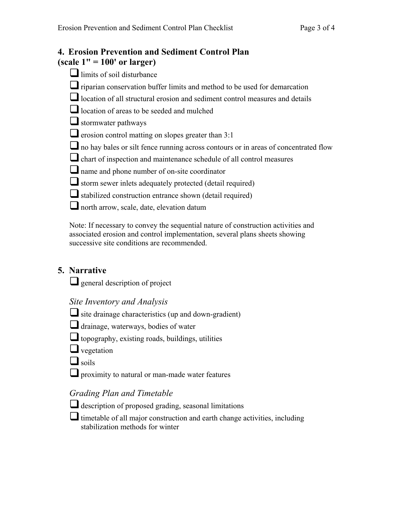#### **4. Erosion Prevention and Sediment Control Plan (scale 1" = 100' or larger)**

| $\mathcal{L}$ ait 1 $\mathcal{L}$ 100 01 Iai 2ti $\mathcal{L}$                      |
|-------------------------------------------------------------------------------------|
| $\Box$ limits of soil disturbance                                                   |
| riparian conservation buffer limits and method to be used for demarcation           |
| location of all structural erosion and sediment control measures and details        |
| location of areas to be seeded and mulched                                          |
| $\Box$ stormwater pathways                                                          |
| $\Box$ erosion control matting on slopes greater than 3:1                           |
| no hay bales or silt fence running across contours or in areas of concentrated flow |
| chart of inspection and maintenance schedule of all control measures                |
| I name and phone number of on-site coordinator                                      |
| storm sewer inlets adequately protected (detail required)                           |
| stabilized construction entrance shown (detail required)                            |
| north arrow, scale, date, elevation datum                                           |
|                                                                                     |

Note: If necessary to convey the sequential nature of construction activities and associated erosion and control implementation, several plans sheets showing successive site conditions are recommended.

# **5. Narrative**

 $\Box$  general description of project

#### *Site Inventory and Analysis*

- $\Box$  site drainage characteristics (up and down-gradient)
- $\Box$  drainage, waterways, bodies of water
- topography, existing roads, buildings, utilities
- $\Box$  vegetation
- $\Box$  soils
- **Q** proximity to natural or man-made water features

# *Grading Plan and Timetable*

- $\Box$  description of proposed grading, seasonal limitations
- $\Box$  timetable of all major construction and earth change activities, including stabilization methods for winter